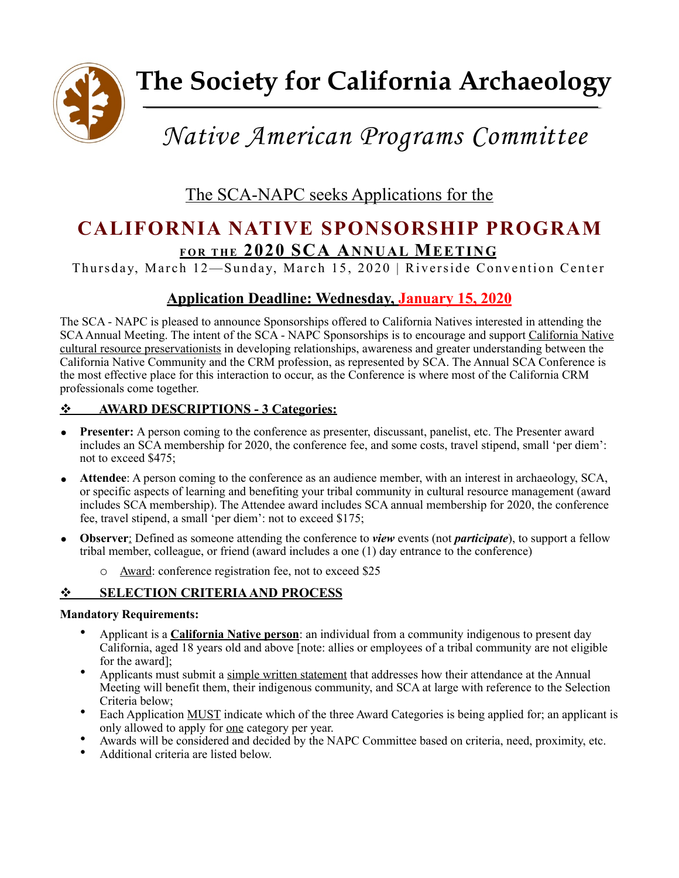

# *Native American Programs Committee*

The SCA-NAPC seeks Applications for the

# **CALIFORNIA NATIVE SPONSORSHIP PROGRAM FOR THE 2020 SCA ANNUAL MEETING**

Thursday, March 12—Sunday, March 15, 2020 | Riverside Convention Center

# **Application Deadline: Wednesday, January 15, 2020**

The SCA - NAPC is pleased to announce Sponsorships offered to California Natives interested in attending the SCA Annual Meeting. The intent of the SCA - NAPC Sponsorships is to encourage and support California Native cultural resource preservationists in developing relationships, awareness and greater understanding between the California Native Community and the CRM profession, as represented by SCA. The Annual SCA Conference is the most effective place for this interaction to occur, as the Conference is where most of the California CRM professionals come together.

### ! **AWARD DESCRIPTIONS - 3 Categories:**

- **Presenter:** A person coming to the conference as presenter, discussant, panelist, etc. The Presenter award includes an SCA membership for 2020, the conference fee, and some costs, travel stipend, small 'per diem': not to exceed \$475;
- **Attendee**: A person coming to the conference as an audience member, with an interest in archaeology, SCA, or specific aspects of learning and benefiting your tribal community in cultural resource management (award includes SCA membership). The Attendee award includes SCA annual membership for 2020, the conference fee, travel stipend, a small 'per diem': not to exceed \$175;
- **Observer**: Defined as someone attending the conference to *view* events (not *participate*), to support a fellow tribal member, colleague, or friend (award includes a one (1) day entrance to the conference)
	- o Award: conference registration fee, not to exceed \$25

## $\div$  **SELECTION CRITERIA AND PROCESS**

#### **Mandatory Requirements:**

- Applicant is a **California Native person**: an individual from a community indigenous to present day California, aged 18 years old and above [note: allies or employees of a tribal community are not eligible for the award];
- Applicants must submit a simple written statement that addresses how their attendance at the Annual Meeting will benefit them, their indigenous community, and SCA at large with reference to the Selection Criteria below;
- Each Application MUST indicate which of the three Award Categories is being applied for; an applicant is only allowed to apply for one category per year.
- Awards will be considered and decided by the NAPC Committee based on criteria, need, proximity, etc. Additional criteria are listed below.
-